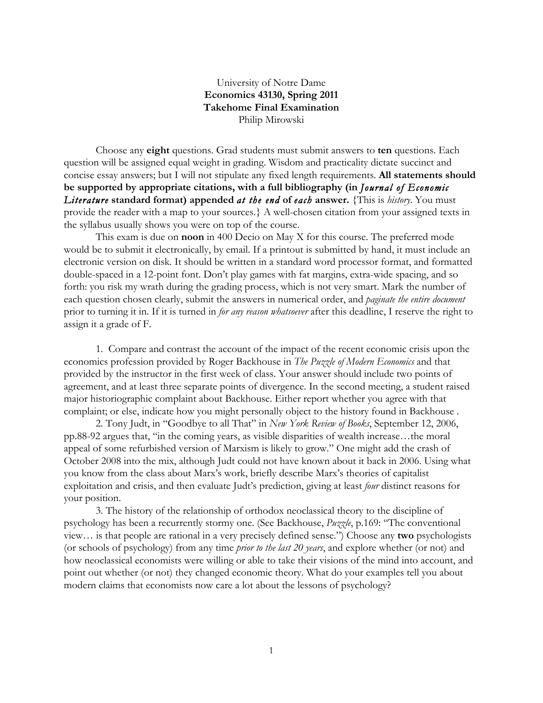## University of Notre Dame **Economics 43130, Spring 2011 Takehome Final Examination** Philip Mirowski

Choose any **eight** questions. Grad students must submit answers to **ten** questions. Each question will be assigned equal weight in grading. Wisdom and practicality dictate succinct and concise essay answers; but I will not stipulate any fixed length requirements. **All statements should be supported by appropriate citations, with a full bibliography (in** *Journal of Economic Literature* **standard format) appended** *at the end* **of** *each* **answer.** {This is *history*. You must provide the reader with a map to your sources.} A well-chosen citation from your assigned texts in the syllabus usually shows you were on top of the course.

This exam is due on **noon** in 400 Decio on May X for this course. The preferred mode would be to submit it electronically, by email. If a printout is submitted by hand, it must include an electronic version on disk. It should be written in a standard word processor format, and formatted double-spaced in a 12-point font. Don't play games with fat margins, extra-wide spacing, and so forth: you risk my wrath during the grading process, which is not very smart. Mark the number of each question chosen clearly, submit the answers in numerical order, and *paginate the entire document* prior to turning it in. If it is turned in *for any reason whatsoever* after this deadline, I reserve the right to assign it a grade of F.

1. Compare and contrast the account of the impact of the recent economic crisis upon the economics profession provided by Roger Backhouse in *The Puzzle of Modern Economics* and that provided by the instructor in the first week of class. Your answer should include two points of agreement, and at least three separate points of divergence. In the second meeting, a student raised major historiographic complaint about Backhouse. Either report whether you agree with that complaint; or else, indicate how you might personally object to the history found in Backhouse .

2. Tony Judt, in "Goodbye to all That" in *New York Review of Books*, September 12, 2006, pp.88-92 argues that, "in the coming years, as visible disparities of wealth increase…the moral appeal of some refurbished version of Marxism is likely to grow." One might add the crash of October 2008 into the mix, although Judt could not have known about it back in 2006. Using what you know from the class about Marx's work, briefly describe Marx's theories of capitalist exploitation and crisis, and then evaluate Judt's prediction, giving at least *four* distinct reasons for your position.

3. The history of the relationship of orthodox neoclassical theory to the discipline of psychology has been a recurrently stormy one. (See Backhouse, *Puzzle*, p.169: "The conventional view… is that people are rational in a very precisely defined sense.") Choose any **two** psychologists (or schools of psychology) from any time *prior to the last 20 years*, and explore whether (or not) and how neoclassical economists were willing or able to take their visions of the mind into account, and point out whether (or not) they changed economic theory. What do your examples tell you about modern claims that economists now care a lot about the lessons of psychology?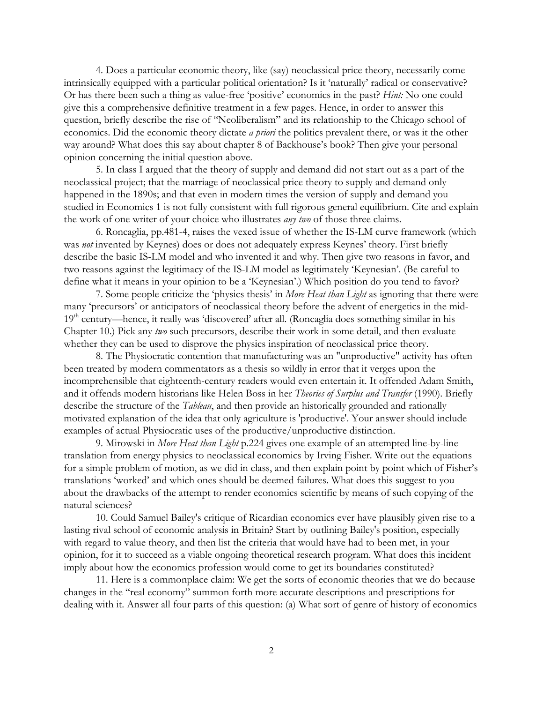4. Does a particular economic theory, like (say) neoclassical price theory, necessarily come intrinsically equipped with a particular political orientation? Is it 'naturally' radical or conservative? Or has there been such a thing as value-free 'positive' economics in the past? *Hint:* No one could give this a comprehensive definitive treatment in a few pages. Hence, in order to answer this question, briefly describe the rise of "Neoliberalism" and its relationship to the Chicago school of economics. Did the economic theory dictate *a priori* the politics prevalent there, or was it the other way around? What does this say about chapter 8 of Backhouse's book? Then give your personal opinion concerning the initial question above.

5. In class I argued that the theory of supply and demand did not start out as a part of the neoclassical project; that the marriage of neoclassical price theory to supply and demand only happened in the 1890s; and that even in modern times the version of supply and demand you studied in Economics 1 is not fully consistent with full rigorous general equilibrium. Cite and explain the work of one writer of your choice who illustrates *any two* of those three claims.

6. Roncaglia, pp.481-4, raises the vexed issue of whether the IS-LM curve framework (which was *not* invented by Keynes) does or does not adequately express Keynes' theory. First briefly describe the basic IS-LM model and who invented it and why. Then give two reasons in favor, and two reasons against the legitimacy of the IS-LM model as legitimately 'Keynesian'. (Be careful to define what it means in your opinion to be a 'Keynesian'.) Which position do you tend to favor?

7. Some people criticize the 'physics thesis' in *More Heat than Light* as ignoring that there were many 'precursors' or anticipators of neoclassical theory before the advent of energetics in the mid-19<sup>th</sup> century—hence, it really was 'discovered' after all. (Roncaglia does something similar in his Chapter 10.) Pick any *two* such precursors, describe their work in some detail, and then evaluate whether they can be used to disprove the physics inspiration of neoclassical price theory.

8. The Physiocratic contention that manufacturing was an "unproductive" activity has often been treated by modern commentators as a thesis so wildly in error that it verges upon the incomprehensible that eighteenth-century readers would even entertain it. It offended Adam Smith, and it offends modern historians like Helen Boss in her *Theories of Surplus and Transfer* (1990). Briefly describe the structure of the *Tableau*, and then provide an historically grounded and rationally motivated explanation of the idea that only agriculture is 'productive'. Your answer should include examples of actual Physiocratic uses of the productive/unproductive distinction.

9. Mirowski in *More Heat than Light* p.224 gives one example of an attempted line-by-line translation from energy physics to neoclassical economics by Irving Fisher. Write out the equations for a simple problem of motion, as we did in class, and then explain point by point which of Fisher's translations 'worked' and which ones should be deemed failures. What does this suggest to you about the drawbacks of the attempt to render economics scientific by means of such copying of the natural sciences?

10. Could Samuel Bailey's critique of Ricardian economics ever have plausibly given rise to a lasting rival school of economic analysis in Britain? Start by outlining Bailey's position, especially with regard to value theory, and then list the criteria that would have had to been met, in your opinion, for it to succeed as a viable ongoing theoretical research program. What does this incident imply about how the economics profession would come to get its boundaries constituted?

11. Here is a commonplace claim: We get the sorts of economic theories that we do because changes in the "real economy" summon forth more accurate descriptions and prescriptions for dealing with it. Answer all four parts of this question: (a) What sort of genre of history of economics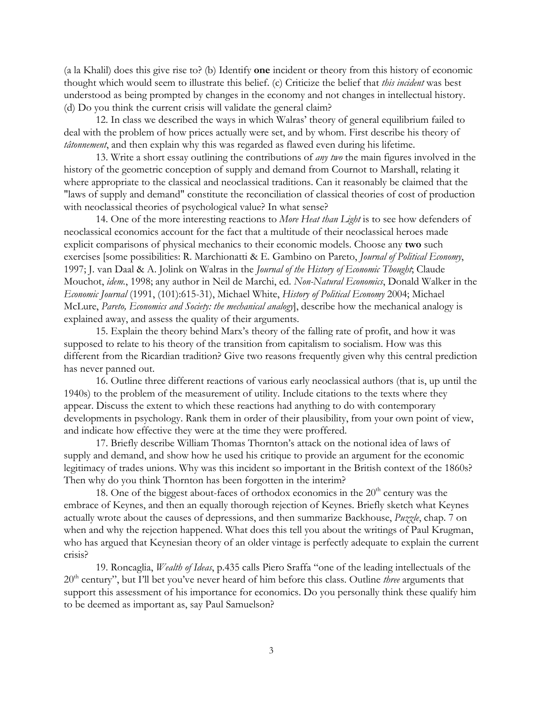(a la Khalil) does this give rise to? (b) Identify **one** incident or theory from this history of economic thought which would seem to illustrate this belief. (c) Criticize the belief that *this incident* was best understood as being prompted by changes in the economy and not changes in intellectual history. (d) Do you think the current crisis will validate the general claim?

12. In class we described the ways in which Walras' theory of general equilibrium failed to deal with the problem of how prices actually were set, and by whom. First describe his theory of *tâtonnement*, and then explain why this was regarded as flawed even during his lifetime.

13. Write a short essay outlining the contributions of *any two* the main figures involved in the history of the geometric conception of supply and demand from Cournot to Marshall, relating it where appropriate to the classical and neoclassical traditions. Can it reasonably be claimed that the "laws of supply and demand" constitute the reconciliation of classical theories of cost of production with neoclassical theories of psychological value? In what sense?

14. One of the more interesting reactions to *More Heat than Light* is to see how defenders of neoclassical economics account for the fact that a multitude of their neoclassical heroes made explicit comparisons of physical mechanics to their economic models. Choose any **two** such exercises [some possibilities: R. Marchionatti & E. Gambino on Pareto, *Journal of Political Economy*, 1997; J. van Daal & A. Jolink on Walras in the *Journal of the History of Economic Thought*; Claude Mouchot, *idem.*, 1998; any author in Neil de Marchi, ed. *Non-Natural Economics*, Donald Walker in the *Economic Journal* (1991, (101):615-31), Michael White, *History of Political Economy* 2004; Michael McLure, *Pareto, Economics and Society: the mechanical analogy*], describe how the mechanical analogy is explained away, and assess the quality of their arguments.

15. Explain the theory behind Marx's theory of the falling rate of profit, and how it was supposed to relate to his theory of the transition from capitalism to socialism. How was this different from the Ricardian tradition? Give two reasons frequently given why this central prediction has never panned out.

16. Outline three different reactions of various early neoclassical authors (that is, up until the 1940s) to the problem of the measurement of utility. Include citations to the texts where they appear. Discuss the extent to which these reactions had anything to do with contemporary developments in psychology. Rank them in order of their plausibility, from your own point of view, and indicate how effective they were at the time they were proffered.

17. Briefly describe William Thomas Thornton's attack on the notional idea of laws of supply and demand, and show how he used his critique to provide an argument for the economic legitimacy of trades unions. Why was this incident so important in the British context of the 1860s? Then why do you think Thornton has been forgotten in the interim?

18. One of the biggest about-faces of orthodox economics in the  $20<sup>th</sup>$  century was the embrace of Keynes, and then an equally thorough rejection of Keynes. Briefly sketch what Keynes actually wrote about the causes of depressions, and then summarize Backhouse, *Puzzle*, chap. 7 on when and why the rejection happened. What does this tell you about the writings of Paul Krugman, who has argued that Keynesian theory of an older vintage is perfectly adequate to explain the current crisis?

19. Roncaglia, *Wealth of Ideas*, p.435 calls Piero Sraffa "one of the leading intellectuals of the 20<sup>th</sup> century", but I'll bet you've never heard of him before this class. Outline *three* arguments that support this assessment of his importance for economics. Do you personally think these qualify him to be deemed as important as, say Paul Samuelson?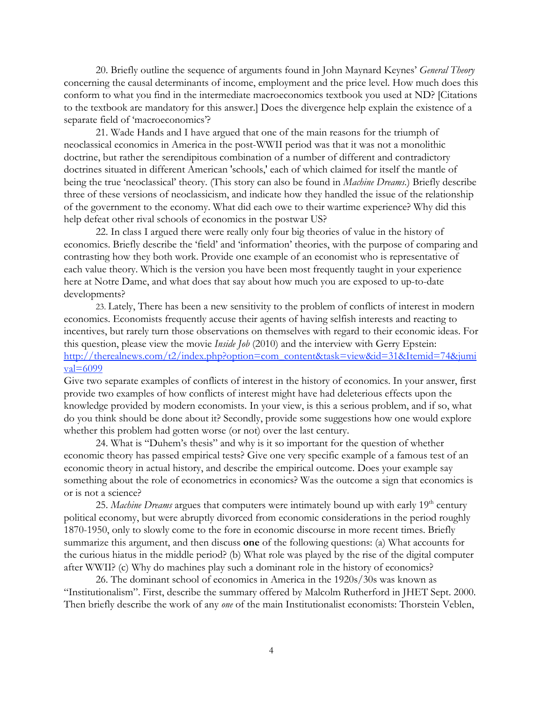20. Briefly outline the sequence of arguments found in John Maynard Keynes' *General Theory* concerning the causal determinants of income, employment and the price level. How much does this conform to what you find in the intermediate macroeconomics textbook you used at ND? [Citations to the textbook are mandatory for this answer.] Does the divergence help explain the existence of a separate field of 'macroeconomics'?

21. Wade Hands and I have argued that one of the main reasons for the triumph of neoclassical economics in America in the post-WWII period was that it was not a monolithic doctrine, but rather the serendipitous combination of a number of different and contradictory doctrines situated in different American 'schools,' each of which claimed for itself the mantle of being the true 'neoclassical' theory. (This story can also be found in *Machine Dreams.*) Briefly describe three of these versions of neoclassicism, and indicate how they handled the issue of the relationship of the government to the economy. What did each owe to their wartime experience? Why did this help defeat other rival schools of economics in the postwar US?

22. In class I argued there were really only four big theories of value in the history of economics. Briefly describe the 'field' and 'information' theories, with the purpose of comparing and contrasting how they both work. Provide one example of an economist who is representative of each value theory. Which is the version you have been most frequently taught in your experience here at Notre Dame, and what does that say about how much you are exposed to up-to-date developments?

23. Lately, There has been a new sensitivity to the problem of conflicts of interest in modern economics. Economists frequently accuse their agents of having selfish interests and reacting to incentives, but rarely turn those observations on themselves with regard to their economic ideas. For this question, please view the movie *Inside Job* (2010) and the interview with Gerry Epstein: http://therealnews.com/t2/index.php?option=com\_content&task=view&id=31&Itemid=74&jumi  $val=6099$ 

Give two separate examples of conflicts of interest in the history of economics. In your answer, first provide two examples of how conflicts of interest might have had deleterious effects upon the knowledge provided by modern economists. In your view, is this a serious problem, and if so, what do you think should be done about it? Secondly, provide some suggestions how one would explore whether this problem had gotten worse (or not) over the last century.

24. What is "Duhem's thesis" and why is it so important for the question of whether economic theory has passed empirical tests? Give one very specific example of a famous test of an economic theory in actual history, and describe the empirical outcome. Does your example say something about the role of econometrics in economics? Was the outcome a sign that economics is or is not a science?

25. *Machine Dreams* argues that computers were intimately bound up with early 19<sup>th</sup> century political economy, but were abruptly divorced from economic considerations in the period roughly 1870-1950, only to slowly come to the fore in economic discourse in more recent times. Briefly summarize this argument, and then discuss **one** of the following questions: (a) What accounts for the curious hiatus in the middle period? (b) What role was played by the rise of the digital computer after WWII? (c) Why do machines play such a dominant role in the history of economics?

26. The dominant school of economics in America in the 1920s/30s was known as "Institutionalism". First, describe the summary offered by Malcolm Rutherford in JHET Sept. 2000. Then briefly describe the work of any *one* of the main Institutionalist economists: Thorstein Veblen,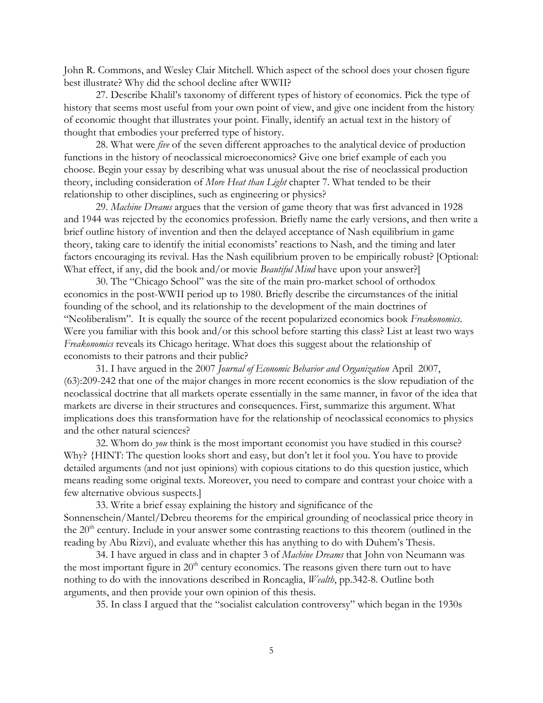John R. Commons, and Wesley Clair Mitchell. Which aspect of the school does your chosen figure best illustrate? Why did the school decline after WWII?

27. Describe Khalil's taxonomy of different types of history of economics. Pick the type of history that seems most useful from your own point of view, and give one incident from the history of economic thought that illustrates your point. Finally, identify an actual text in the history of thought that embodies your preferred type of history.

28. What were *five* of the seven different approaches to the analytical device of production functions in the history of neoclassical microeconomics? Give one brief example of each you choose. Begin your essay by describing what was unusual about the rise of neoclassical production theory, including consideration of *More Heat than Light* chapter 7. What tended to be their relationship to other disciplines, such as engineering or physics?

29. *Machine Dreams* argues that the version of game theory that was first advanced in 1928 and 1944 was rejected by the economics profession. Briefly name the early versions, and then write a brief outline history of invention and then the delayed acceptance of Nash equilibrium in game theory, taking care to identify the initial economists' reactions to Nash, and the timing and later factors encouraging its revival. Has the Nash equilibrium proven to be empirically robust? [Optional: What effect, if any, did the book and/or movie *Beautiful Mind* have upon your answer?]

30. The "Chicago School" was the site of the main pro-market school of orthodox economics in the post-WWII period up to 1980. Briefly describe the circumstances of the initial founding of the school, and its relationship to the development of the main doctrines of "Neoliberalism". It is equally the source of the recent popularized economics book *Freakonomics*. Were you familiar with this book and/or this school before starting this class? List at least two ways *Freakonomics* reveals its Chicago heritage. What does this suggest about the relationship of economists to their patrons and their public?

31. I have argued in the 2007 *Journal of Economic Behavior and Organization* April 2007, (63):209-242 that one of the major changes in more recent economics is the slow repudiation of the neoclassical doctrine that all markets operate essentially in the same manner, in favor of the idea that markets are diverse in their structures and consequences. First, summarize this argument. What implications does this transformation have for the relationship of neoclassical economics to physics and the other natural sciences?

32. Whom do *you* think is the most important economist you have studied in this course? Why? {HINT: The question looks short and easy, but don't let it fool you. You have to provide detailed arguments (and not just opinions) with copious citations to do this question justice, which means reading some original texts. Moreover, you need to compare and contrast your choice with a few alternative obvious suspects.]

33. Write a brief essay explaining the history and significance of the Sonnenschein/Mantel/Debreu theorems for the empirical grounding of neoclassical price theory in the 20<sup>th</sup> century. Include in your answer some contrasting reactions to this theorem (outlined in the reading by Abu Rizvi), and evaluate whether this has anything to do with Duhem's Thesis.

34. I have argued in class and in chapter 3 of *Machine Dreams* that John von Neumann was the most important figure in  $20<sup>th</sup>$  century economics. The reasons given there turn out to have nothing to do with the innovations described in Roncaglia, *Wealth*, pp.342-8. Outline both arguments, and then provide your own opinion of this thesis.

35. In class I argued that the "socialist calculation controversy" which began in the 1930s